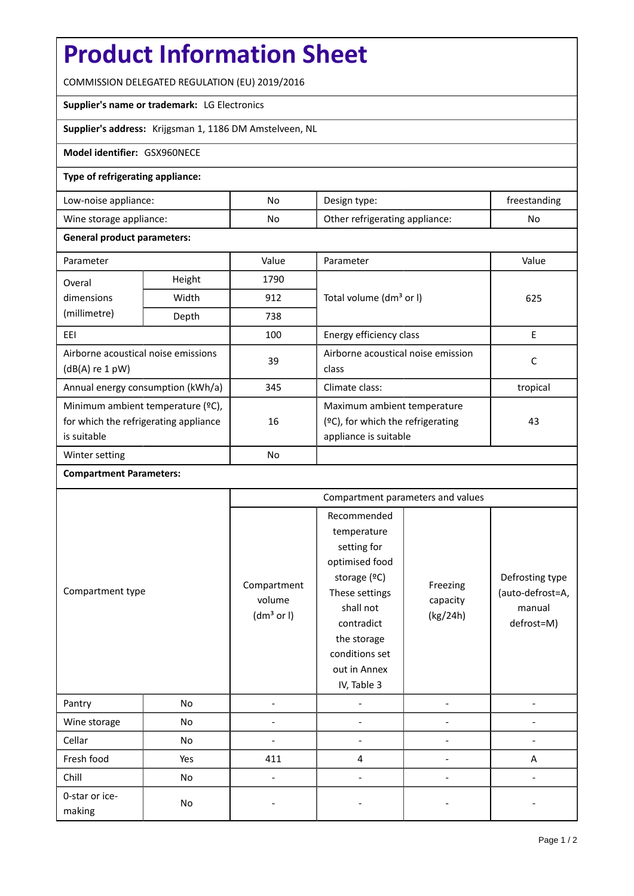# **Product Information Sheet**

COMMISSION DELEGATED REGULATION (EU) 2019/2016

## **Supplier's name or trademark:** LG Electronics

**Supplier's address:** Krijgsman 1, 1186 DM Amstelveen, NL

#### **Model identifier:** GSX960NECE

### **Type of refrigerating appliance:**

| Low-noise appliance:    | No. | Design type:                   | treestanding |
|-------------------------|-----|--------------------------------|--------------|
| Wine storage appliance: | No  | Other refrigerating appliance: | No           |

### **General product parameters:**

| Parameter                                                |                | Value     | Parameter                            | Value    |  |
|----------------------------------------------------------|----------------|-----------|--------------------------------------|----------|--|
| Overal                                                   | Height<br>1790 |           |                                      |          |  |
| dimensions                                               | Width          | 912       | Total volume (dm <sup>3</sup> or I)  | 625      |  |
| (millimetre)                                             | Depth          | 738       |                                      |          |  |
| EEI                                                      |                | 100       | Energy efficiency class              | E        |  |
| Airborne acoustical noise emissions<br>$(dB(A)$ re 1 pW) |                | 39        | Airborne acoustical noise emission   | C        |  |
|                                                          |                |           | class                                |          |  |
| Annual energy consumption (kWh/a)                        |                | 345       | Climate class:                       | tropical |  |
| Minimum ambient temperature (°C),                        |                |           | Maximum ambient temperature          |          |  |
| for which the refrigerating appliance                    |                | 16        | $(2C)$ , for which the refrigerating | 43       |  |
| is suitable                                              |                |           | appliance is suitable                |          |  |
| Winter setting                                           |                | <b>No</b> |                                      |          |  |

## **Compartment Parameters:**

|                          |     | Compartment parameters and values               |                                                                                                                                                                                          |                                  |                                                             |
|--------------------------|-----|-------------------------------------------------|------------------------------------------------------------------------------------------------------------------------------------------------------------------------------------------|----------------------------------|-------------------------------------------------------------|
| Compartment type         |     | Compartment<br>volume<br>(dm <sup>3</sup> or I) | Recommended<br>temperature<br>setting for<br>optimised food<br>storage (°C)<br>These settings<br>shall not<br>contradict<br>the storage<br>conditions set<br>out in Annex<br>IV, Table 3 | Freezing<br>capacity<br>(kg/24h) | Defrosting type<br>(auto-defrost=A,<br>manual<br>defrost=M) |
| Pantry                   | No  |                                                 |                                                                                                                                                                                          |                                  |                                                             |
| Wine storage             | No  |                                                 |                                                                                                                                                                                          |                                  |                                                             |
| Cellar                   | No  |                                                 |                                                                                                                                                                                          |                                  |                                                             |
| Fresh food               | Yes | 411                                             | 4                                                                                                                                                                                        |                                  | A                                                           |
| Chill                    | No  | ۰                                               |                                                                                                                                                                                          |                                  |                                                             |
| 0-star or ice-<br>making | No  |                                                 |                                                                                                                                                                                          |                                  |                                                             |